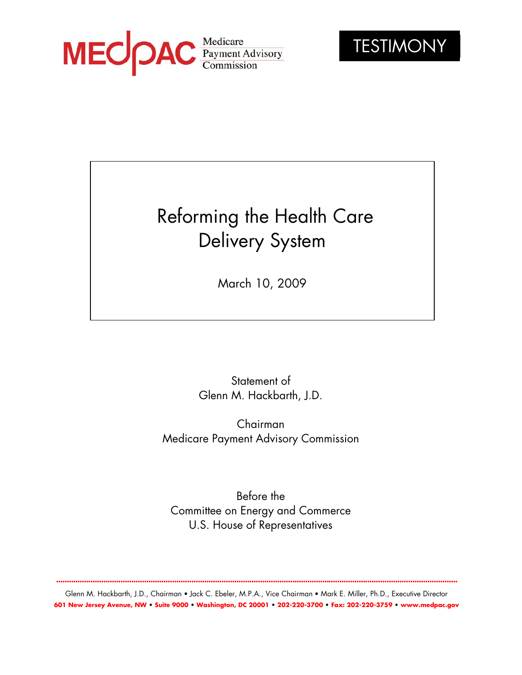



# Reforming the Health Care Delivery System

March 10, 2009

Statement of Glenn M. Hackbarth, J.D.

Chairman Medicare Payment Advisory Commission

Before the Committee on Energy and Commerce U.S. House of Representatives

**...........................................................................................................................................................................................**

Glenn M. Hackbarth, J.D., Chairman • Jack C. Ebeler, M.P.A., Vice Chairman • Mark E. Miller, Ph.D., Executive Director **601 New Jersey Avenue, NW • Suite 9000 • Washington, DC 20001 • 202-220-3700 • Fax: 202-220-3759 • www.medpac.gov**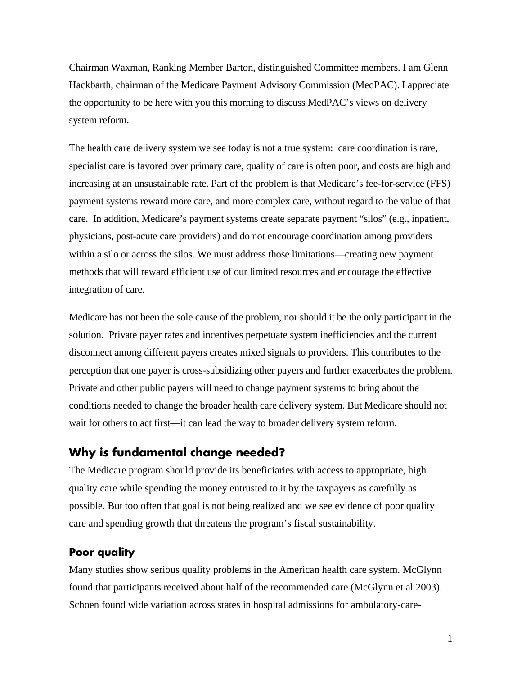Chairman Waxman, Ranking Member Barton, distinguished Committee members. I am Glenn Hackbarth, chairman of the Medicare Payment Advisory Commission (MedPAC). I appreciate the opportunity to be here with you this morning to discuss MedPAC's views on delivery system reform.

The health care delivery system we see today is not a true system: care coordination is rare, specialist care is favored over primary care, quality of care is often poor, and costs are high and increasing at an unsustainable rate. Part of the problem is that Medicare's fee-for-service (FFS) payment systems reward more care, and more complex care, without regard to the value of that care. In addition, Medicare's payment systems create separate payment "silos" (e.g., inpatient, physicians, post-acute care providers) and do not encourage coordination among providers within a silo or across the silos. We must address those limitations—creating new payment methods that will reward efficient use of our limited resources and encourage the effective integration of care.

Medicare has not been the sole cause of the problem, nor should it be the only participant in the solution. Private payer rates and incentives perpetuate system inefficiencies and the current disconnect among different payers creates mixed signals to providers. This contributes to the perception that one payer is cross-subsidizing other payers and further exacerbates the problem. Private and other public payers will need to change payment systems to bring about the conditions needed to change the broader health care delivery system. But Medicare should not wait for others to act first—it can lead the way to broader delivery system reform.

## **Why is fundamental change needed?**

The Medicare program should provide its beneficiaries with access to appropriate, high quality care while spending the money entrusted to it by the taxpayers as carefully as possible. But too often that goal is not being realized and we see evidence of poor quality care and spending growth that threatens the program's fiscal sustainability.

#### **Poor quality**

Many studies show serious quality problems in the American health care system. McGlynn found that participants received about half of the recommended care (McGlynn et al 2003). Schoen found wide variation across states in hospital admissions for ambulatory-care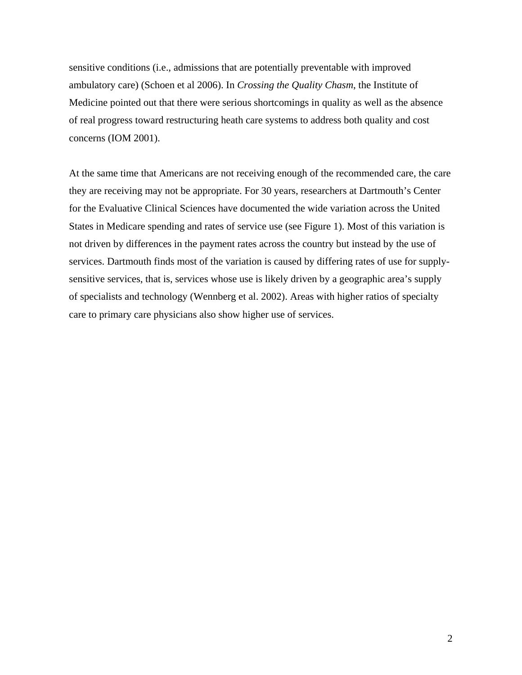sensitive conditions (i.e., admissions that are potentially preventable with improved ambulatory care) (Schoen et al 2006). In *Crossing the Quality Chasm*, the Institute of Medicine pointed out that there were serious shortcomings in quality as well as the absence of real progress toward restructuring heath care systems to address both quality and cost concerns (IOM 2001).

At the same time that Americans are not receiving enough of the recommended care, the care they are receiving may not be appropriate. For 30 years, researchers at Dartmouth's Center for the Evaluative Clinical Sciences have documented the wide variation across the United States in Medicare spending and rates of service use (see Figure 1). Most of this variation is not driven by differences in the payment rates across the country but instead by the use of services. Dartmouth finds most of the variation is caused by differing rates of use for supplysensitive services, that is, services whose use is likely driven by a geographic area's supply of specialists and technology (Wennberg et al. 2002). Areas with higher ratios of specialty care to primary care physicians also show higher use of services.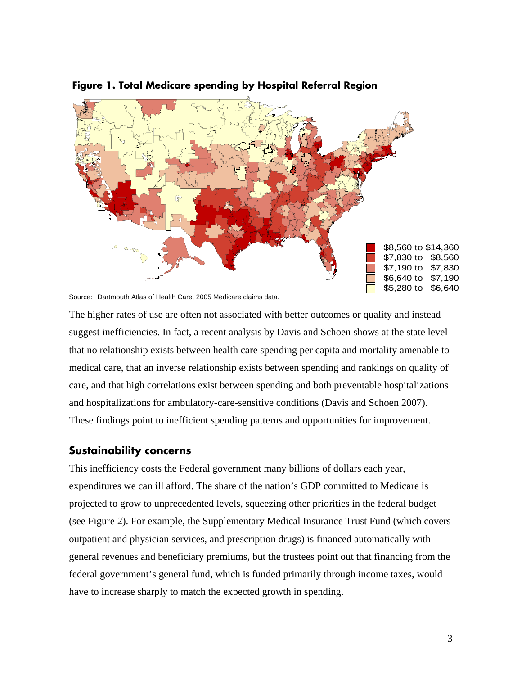

#### **Figure 1. Total Medicare spending by Hospital Referral Region**

Source: Dartmouth Atlas of Health Care, 2005 Medicare claims data.

The higher rates of use are often not associated with better outcomes or quality and instead suggest inefficiencies. In fact, a recent analysis by Davis and Schoen shows at the state level that no relationship exists between health care spending per capita and mortality amenable to medical care, that an inverse relationship exists between spending and rankings on quality of care, and that high correlations exist between spending and both preventable hospitalizations and hospitalizations for ambulatory-care-sensitive conditions (Davis and Schoen 2007). These findings point to inefficient spending patterns and opportunities for improvement.

#### **Sustainability concerns**

This inefficiency costs the Federal government many billions of dollars each year, expenditures we can ill afford. The share of the nation's GDP committed to Medicare is projected to grow to unprecedented levels, squeezing other priorities in the federal budget (see Figure 2). For example, the Supplementary Medical Insurance Trust Fund (which covers outpatient and physician services, and prescription drugs) is financed automatically with general revenues and beneficiary premiums, but the trustees point out that financing from the federal government's general fund, which is funded primarily through income taxes, would have to increase sharply to match the expected growth in spending.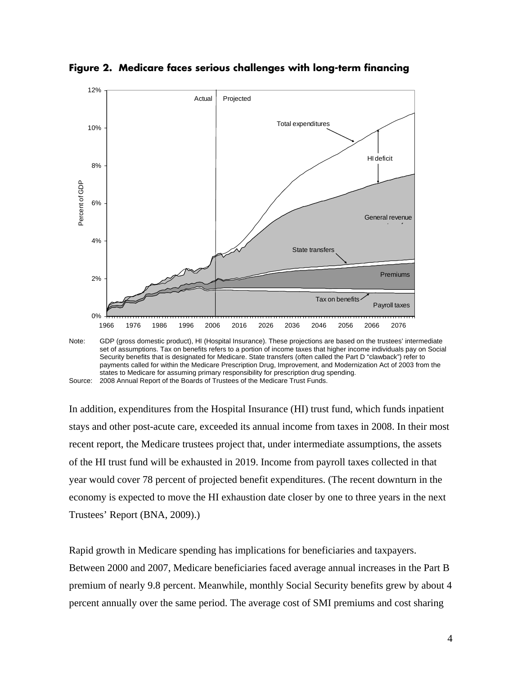

**Figure 2. Medicare faces serious challenges with long-term financing** 

In addition, expenditures from the Hospital Insurance (HI) trust fund, which funds inpatient stays and other post-acute care, exceeded its annual income from taxes in 2008. In their most recent report, the Medicare trustees project that, under intermediate assumptions, the assets of the HI trust fund will be exhausted in 2019. Income from payroll taxes collected in that year would cover 78 percent of projected benefit expenditures. (The recent downturn in the economy is expected to move the HI exhaustion date closer by one to three years in the next Trustees' Report (BNA, 2009).)

Rapid growth in Medicare spending has implications for beneficiaries and taxpayers. Between 2000 and 2007, Medicare beneficiaries faced average annual increases in the Part B premium of nearly 9.8 percent. Meanwhile, monthly Social Security benefits grew by about 4 percent annually over the same period. The average cost of SMI premiums and cost sharing

set of assumptions. Tax on benefits refers to a portion of income taxes that higher income individuals pay on Social Security benefits that is designated for Medicare. State transfers (often called the Part D "clawback") refer to payments called for within the Medicare Prescription Drug, Improvement, and Modernization Act of 2003 from the states to Medicare for assuming primary responsibility for prescription drug spending. Source: 2008 Annual Report of the Boards of Trustees of the Medicare Trust Funds.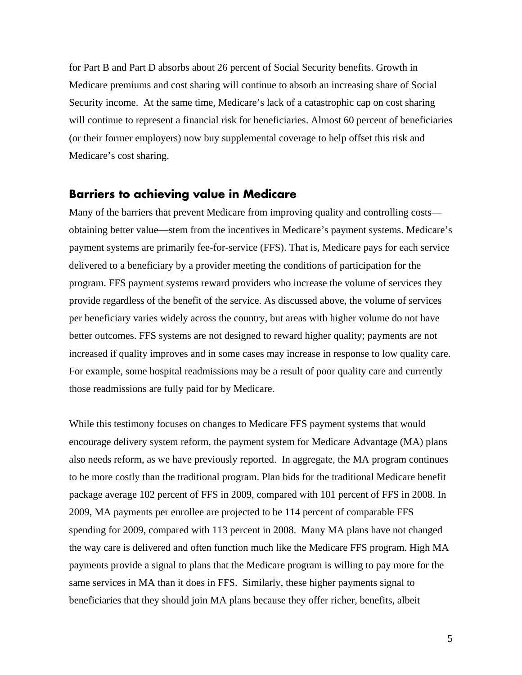for Part B and Part D absorbs about 26 percent of Social Security benefits. Growth in Medicare premiums and cost sharing will continue to absorb an increasing share of Social Security income. At the same time, Medicare's lack of a catastrophic cap on cost sharing will continue to represent a financial risk for beneficiaries. Almost 60 percent of beneficiaries (or their former employers) now buy supplemental coverage to help offset this risk and Medicare's cost sharing.

### **Barriers to achieving value in Medicare**

Many of the barriers that prevent Medicare from improving quality and controlling costs obtaining better value—stem from the incentives in Medicare's payment systems. Medicare's payment systems are primarily fee-for-service (FFS). That is, Medicare pays for each service delivered to a beneficiary by a provider meeting the conditions of participation for the program. FFS payment systems reward providers who increase the volume of services they provide regardless of the benefit of the service. As discussed above, the volume of services per beneficiary varies widely across the country, but areas with higher volume do not have better outcomes. FFS systems are not designed to reward higher quality; payments are not increased if quality improves and in some cases may increase in response to low quality care. For example, some hospital readmissions may be a result of poor quality care and currently those readmissions are fully paid for by Medicare.

While this testimony focuses on changes to Medicare FFS payment systems that would encourage delivery system reform, the payment system for Medicare Advantage (MA) plans also needs reform, as we have previously reported. In aggregate, the MA program continues to be more costly than the traditional program. Plan bids for the traditional Medicare benefit package average 102 percent of FFS in 2009, compared with 101 percent of FFS in 2008. In 2009, MA payments per enrollee are projected to be 114 percent of comparable FFS spending for 2009, compared with 113 percent in 2008. Many MA plans have not changed the way care is delivered and often function much like the Medicare FFS program. High MA payments provide a signal to plans that the Medicare program is willing to pay more for the same services in MA than it does in FFS. Similarly, these higher payments signal to beneficiaries that they should join MA plans because they offer richer, benefits, albeit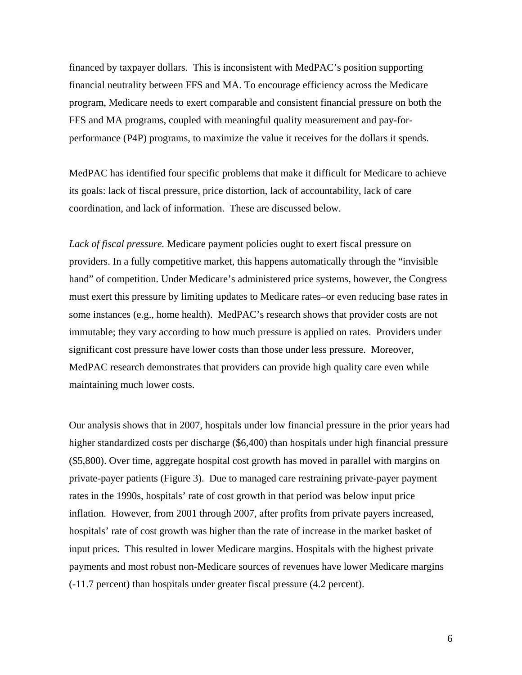financed by taxpayer dollars. This is inconsistent with MedPAC's position supporting financial neutrality between FFS and MA. To encourage efficiency across the Medicare program, Medicare needs to exert comparable and consistent financial pressure on both the FFS and MA programs, coupled with meaningful quality measurement and pay-forperformance (P4P) programs, to maximize the value it receives for the dollars it spends.

MedPAC has identified four specific problems that make it difficult for Medicare to achieve its goals: lack of fiscal pressure, price distortion, lack of accountability, lack of care coordination, and lack of information. These are discussed below.

*Lack of fiscal pressure.* Medicare payment policies ought to exert fiscal pressure on providers. In a fully competitive market, this happens automatically through the "invisible hand" of competition. Under Medicare's administered price systems, however, the Congress must exert this pressure by limiting updates to Medicare rates–or even reducing base rates in some instances (e.g., home health). MedPAC's research shows that provider costs are not immutable; they vary according to how much pressure is applied on rates. Providers under significant cost pressure have lower costs than those under less pressure. Moreover, MedPAC research demonstrates that providers can provide high quality care even while maintaining much lower costs.

Our analysis shows that in 2007, hospitals under low financial pressure in the prior years had higher standardized costs per discharge (\$6,400) than hospitals under high financial pressure (\$5,800). Over time, aggregate hospital cost growth has moved in parallel with margins on private-payer patients (Figure 3). Due to managed care restraining private-payer payment rates in the 1990s, hospitals' rate of cost growth in that period was below input price inflation. However, from 2001 through 2007, after profits from private payers increased, hospitals' rate of cost growth was higher than the rate of increase in the market basket of input prices. This resulted in lower Medicare margins. Hospitals with the highest private payments and most robust non-Medicare sources of revenues have lower Medicare margins (-11.7 percent) than hospitals under greater fiscal pressure (4.2 percent).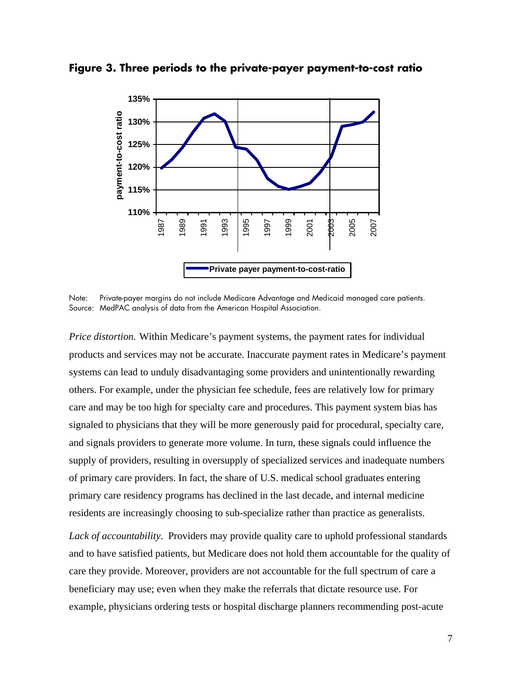



Note: Private-payer margins do not include Medicare Advantage and Medicaid managed care patients. Source: MedPAC analysis of data from the American Hospital Association.

*Price distortion.* Within Medicare's payment systems, the payment rates for individual products and services may not be accurate. Inaccurate payment rates in Medicare's payment systems can lead to unduly disadvantaging some providers and unintentionally rewarding others. For example, under the physician fee schedule, fees are relatively low for primary care and may be too high for specialty care and procedures. This payment system bias has signaled to physicians that they will be more generously paid for procedural, specialty care, and signals providers to generate more volume. In turn, these signals could influence the supply of providers, resulting in oversupply of specialized services and inadequate numbers of primary care providers. In fact, the share of U.S. medical school graduates entering primary care residency programs has declined in the last decade, and internal medicine residents are increasingly choosing to sub-specialize rather than practice as generalists.

Lack of accountability. Providers may provide quality care to uphold professional standards and to have satisfied patients, but Medicare does not hold them accountable for the quality of care they provide. Moreover, providers are not accountable for the full spectrum of care a beneficiary may use; even when they make the referrals that dictate resource use. For example, physicians ordering tests or hospital discharge planners recommending post-acute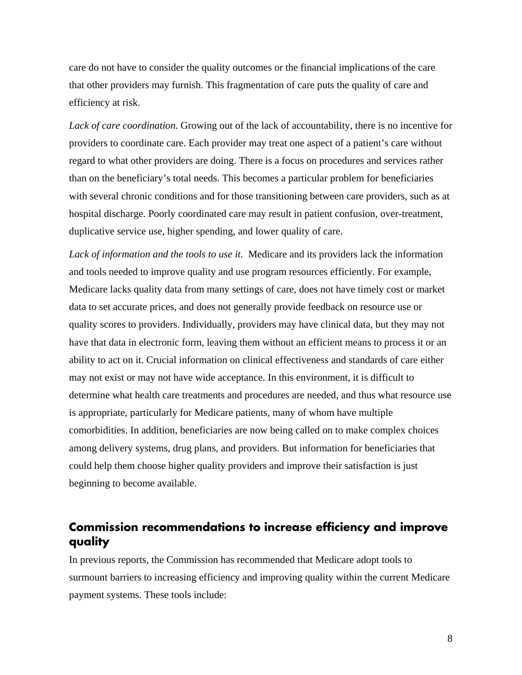care do not have to consider the quality outcomes or the financial implications of the care that other providers may furnish. This fragmentation of care puts the quality of care and efficiency at risk.

*Lack of care coordination.* Growing out of the lack of accountability, there is no incentive for providers to coordinate care. Each provider may treat one aspect of a patient's care without regard to what other providers are doing. There is a focus on procedures and services rather than on the beneficiary's total needs. This becomes a particular problem for beneficiaries with several chronic conditions and for those transitioning between care providers, such as at hospital discharge. Poorly coordinated care may result in patient confusion, over-treatment, duplicative service use, higher spending, and lower quality of care.

*Lack of information and the tools to use it.* Medicare and its providers lack the information and tools needed to improve quality and use program resources efficiently. For example, Medicare lacks quality data from many settings of care, does not have timely cost or market data to set accurate prices, and does not generally provide feedback on resource use or quality scores to providers. Individually, providers may have clinical data, but they may not have that data in electronic form, leaving them without an efficient means to process it or an ability to act on it. Crucial information on clinical effectiveness and standards of care either may not exist or may not have wide acceptance. In this environment, it is difficult to determine what health care treatments and procedures are needed, and thus what resource use is appropriate, particularly for Medicare patients, many of whom have multiple comorbidities. In addition, beneficiaries are now being called on to make complex choices among delivery systems, drug plans, and providers. But information for beneficiaries that could help them choose higher quality providers and improve their satisfaction is just beginning to become available.

# **Commission recommendations to increase efficiency and improve quality**

In previous reports, the Commission has recommended that Medicare adopt tools to surmount barriers to increasing efficiency and improving quality within the current Medicare payment systems. These tools include: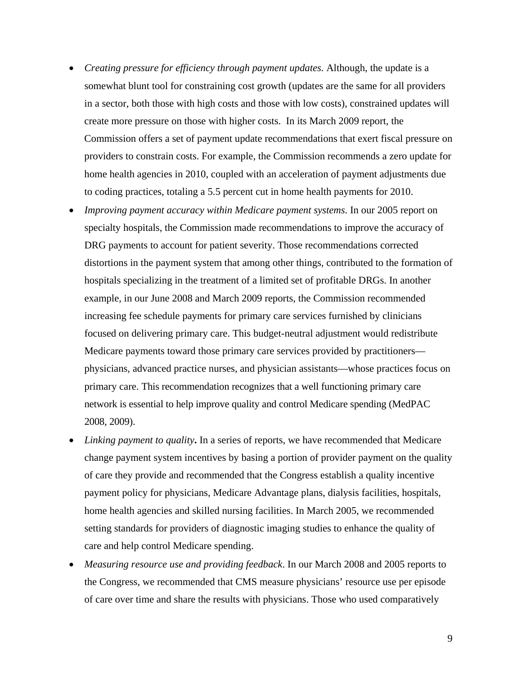- *Creating pressure for efficiency through payment updates.* Although, the update is a somewhat blunt tool for constraining cost growth (updates are the same for all providers in a sector, both those with high costs and those with low costs), constrained updates will create more pressure on those with higher costs. In its March 2009 report, the Commission offers a set of payment update recommendations that exert fiscal pressure on providers to constrain costs. For example, the Commission recommends a zero update for home health agencies in 2010, coupled with an acceleration of payment adjustments due to coding practices, totaling a 5.5 percent cut in home health payments for 2010.
- *Improving payment accuracy within Medicare payment systems*. In our 2005 report on specialty hospitals, the Commission made recommendations to improve the accuracy of DRG payments to account for patient severity. Those recommendations corrected distortions in the payment system that among other things, contributed to the formation of hospitals specializing in the treatment of a limited set of profitable DRGs. In another example, in our June 2008 and March 2009 reports, the Commission recommended increasing fee schedule payments for primary care services furnished by clinicians focused on delivering primary care. This budget-neutral adjustment would redistribute Medicare payments toward those primary care services provided by practitioners physicians, advanced practice nurses, and physician assistants—whose practices focus on primary care. This recommendation recognizes that a well functioning primary care network is essential to help improve quality and control Medicare spending (MedPAC 2008, 2009).
- *Linking payment to quality***.** In a series of reports, we have recommended that Medicare change payment system incentives by basing a portion of provider payment on the quality of care they provide and recommended that the Congress establish a quality incentive payment policy for physicians, Medicare Advantage plans, dialysis facilities, hospitals, home health agencies and skilled nursing facilities. In March 2005, we recommended setting standards for providers of diagnostic imaging studies to enhance the quality of care and help control Medicare spending.
- *Measuring resource use and providing feedback*. In our March 2008 and 2005 reports to the Congress, we recommended that CMS measure physicians' resource use per episode of care over time and share the results with physicians. Those who used comparatively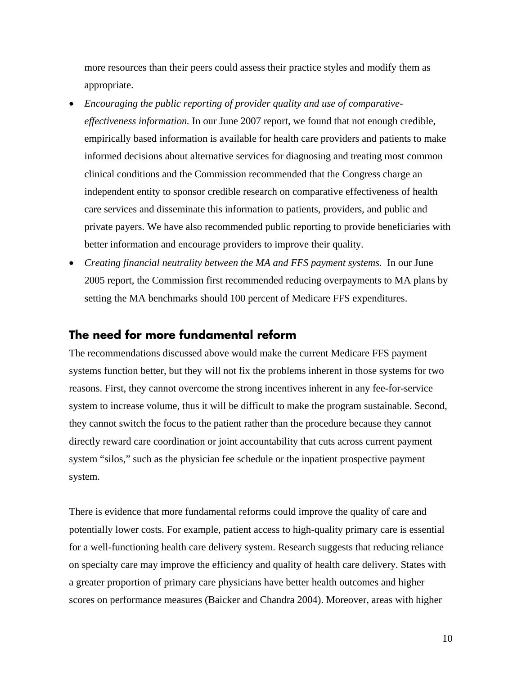more resources than their peers could assess their practice styles and modify them as appropriate.

- *Encouraging the public reporting of provider quality and use of comparativeeffectiveness information.* In our June 2007 report, we found that not enough credible, empirically based information is available for health care providers and patients to make informed decisions about alternative services for diagnosing and treating most common clinical conditions and the Commission recommended that the Congress charge an independent entity to sponsor credible research on comparative effectiveness of health care services and disseminate this information to patients, providers, and public and private payers. We have also recommended public reporting to provide beneficiaries with better information and encourage providers to improve their quality.
- *Creating financial neutrality between the MA and FFS payment systems.* In our June 2005 report, the Commission first recommended reducing overpayments to MA plans by setting the MA benchmarks should 100 percent of Medicare FFS expenditures.

## **The need for more fundamental reform**

The recommendations discussed above would make the current Medicare FFS payment systems function better, but they will not fix the problems inherent in those systems for two reasons. First, they cannot overcome the strong incentives inherent in any fee-for-service system to increase volume, thus it will be difficult to make the program sustainable. Second, they cannot switch the focus to the patient rather than the procedure because they cannot directly reward care coordination or joint accountability that cuts across current payment system "silos," such as the physician fee schedule or the inpatient prospective payment system.

There is evidence that more fundamental reforms could improve the quality of care and potentially lower costs. For example, patient access to high-quality primary care is essential for a well-functioning health care delivery system. Research suggests that reducing reliance on specialty care may improve the efficiency and quality of health care delivery. States with a greater proportion of primary care physicians have better health outcomes and higher scores on performance measures (Baicker and Chandra 2004). Moreover, areas with higher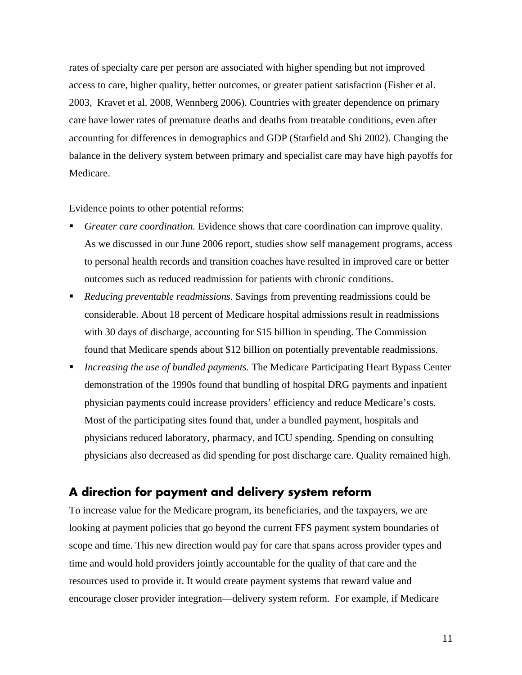rates of specialty care per person are associated with higher spending but not improved access to care, higher quality, better outcomes, or greater patient satisfaction (Fisher et al. 2003, Kravet et al. 2008, Wennberg 2006). Countries with greater dependence on primary care have lower rates of premature deaths and deaths from treatable conditions, even after accounting for differences in demographics and GDP (Starfield and Shi 2002). Changing the balance in the delivery system between primary and specialist care may have high payoffs for Medicare.

Evidence points to other potential reforms:

- *Greater care coordination.* Evidence shows that care coordination can improve quality. As we discussed in our June 2006 report, studies show self management programs, access to personal health records and transition coaches have resulted in improved care or better outcomes such as reduced readmission for patients with chronic conditions.
- *Reducing preventable readmissions.* Savings from preventing readmissions could be considerable. About 18 percent of Medicare hospital admissions result in readmissions with 30 days of discharge, accounting for \$15 billion in spending. The Commission found that Medicare spends about \$12 billion on potentially preventable readmissions.
- *Increasing the use of bundled payments.* The Medicare Participating Heart Bypass Center demonstration of the 1990s found that bundling of hospital DRG payments and inpatient physician payments could increase providers' efficiency and reduce Medicare's costs. Most of the participating sites found that, under a bundled payment, hospitals and physicians reduced laboratory, pharmacy, and ICU spending. Spending on consulting physicians also decreased as did spending for post discharge care. Quality remained high.

## **A direction for payment and delivery system reform**

To increase value for the Medicare program, its beneficiaries, and the taxpayers, we are looking at payment policies that go beyond the current FFS payment system boundaries of scope and time. This new direction would pay for care that spans across provider types and time and would hold providers jointly accountable for the quality of that care and the resources used to provide it. It would create payment systems that reward value and encourage closer provider integration—delivery system reform. For example, if Medicare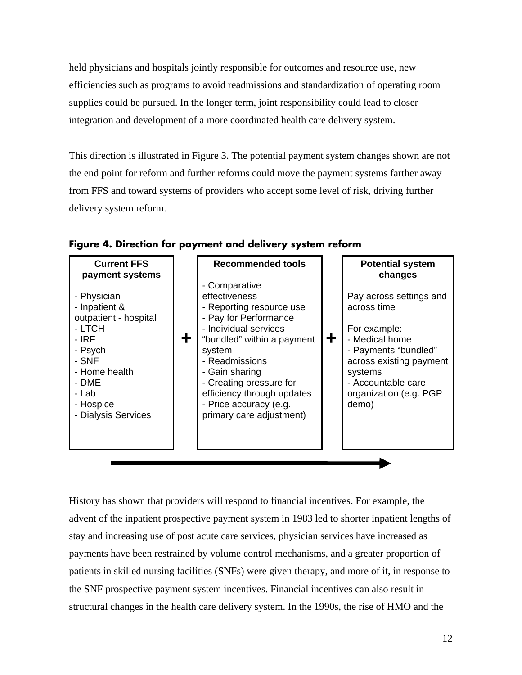held physicians and hospitals jointly responsible for outcomes and resource use, new efficiencies such as programs to avoid readmissions and standardization of operating room supplies could be pursued. In the longer term, joint responsibility could lead to closer integration and development of a more coordinated health care delivery system.

This direction is illustrated in Figure 3. The potential payment system changes shown are not the end point for reform and further reforms could move the payment systems farther away from FFS and toward systems of providers who accept some level of risk, driving further delivery system reform.



**Figure 4. Direction for payment and delivery system reform** 

History has shown that providers will respond to financial incentives. For example, the advent of the inpatient prospective payment system in 1983 led to shorter inpatient lengths of stay and increasing use of post acute care services, physician services have increased as payments have been restrained by volume control mechanisms, and a greater proportion of patients in skilled nursing facilities (SNFs) were given therapy, and more of it, in response to the SNF prospective payment system incentives. Financial incentives can also result in structural changes in the health care delivery system. In the 1990s, the rise of HMO and the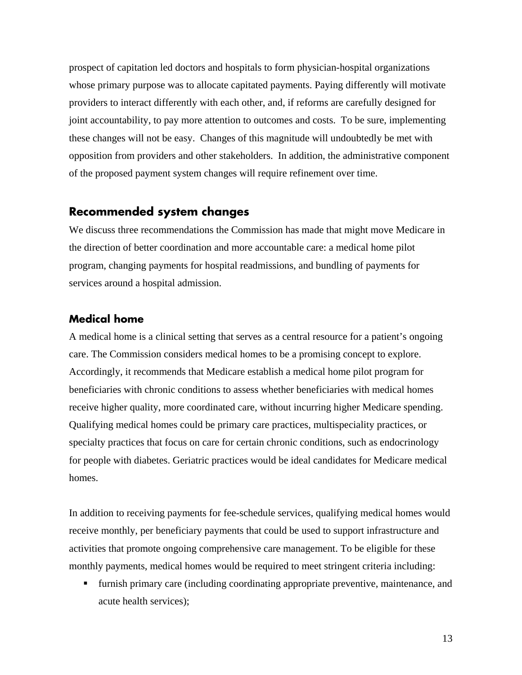prospect of capitation led doctors and hospitals to form physician-hospital organizations whose primary purpose was to allocate capitated payments. Paying differently will motivate providers to interact differently with each other, and, if reforms are carefully designed for joint accountability, to pay more attention to outcomes and costs. To be sure, implementing these changes will not be easy. Changes of this magnitude will undoubtedly be met with opposition from providers and other stakeholders. In addition, the administrative component of the proposed payment system changes will require refinement over time.

## **Recommended system changes**

We discuss three recommendations the Commission has made that might move Medicare in the direction of better coordination and more accountable care: a medical home pilot program, changing payments for hospital readmissions, and bundling of payments for services around a hospital admission.

#### **Medical home**

A medical home is a clinical setting that serves as a central resource for a patient's ongoing care. The Commission considers medical homes to be a promising concept to explore. Accordingly, it recommends that Medicare establish a medical home pilot program for beneficiaries with chronic conditions to assess whether beneficiaries with medical homes receive higher quality, more coordinated care, without incurring higher Medicare spending. Qualifying medical homes could be primary care practices, multispeciality practices, or specialty practices that focus on care for certain chronic conditions, such as endocrinology for people with diabetes. Geriatric practices would be ideal candidates for Medicare medical homes.

In addition to receiving payments for fee-schedule services, qualifying medical homes would receive monthly, per beneficiary payments that could be used to support infrastructure and activities that promote ongoing comprehensive care management. To be eligible for these monthly payments, medical homes would be required to meet stringent criteria including:

 furnish primary care (including coordinating appropriate preventive, maintenance, and acute health services);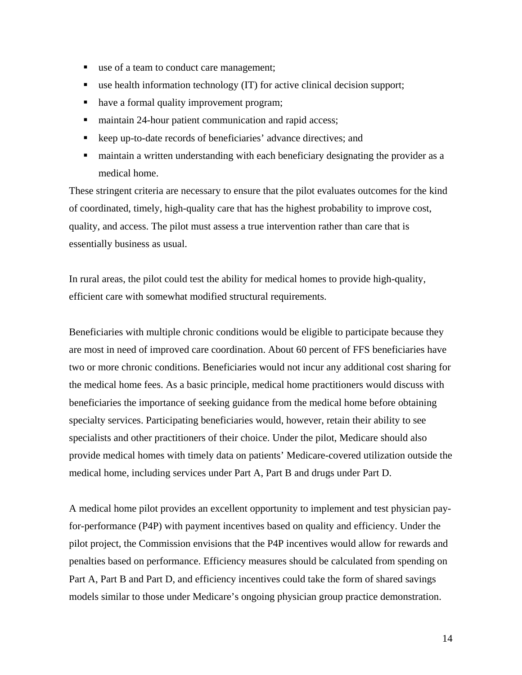- use of a team to conduct care management;
- use health information technology (IT) for active clinical decision support;
- have a formal quality improvement program;
- maintain 24-hour patient communication and rapid access;
- keep up-to-date records of beneficiaries' advance directives; and
- maintain a written understanding with each beneficiary designating the provider as a medical home.

These stringent criteria are necessary to ensure that the pilot evaluates outcomes for the kind of coordinated, timely, high-quality care that has the highest probability to improve cost, quality, and access. The pilot must assess a true intervention rather than care that is essentially business as usual.

In rural areas, the pilot could test the ability for medical homes to provide high-quality, efficient care with somewhat modified structural requirements.

Beneficiaries with multiple chronic conditions would be eligible to participate because they are most in need of improved care coordination. About 60 percent of FFS beneficiaries have two or more chronic conditions. Beneficiaries would not incur any additional cost sharing for the medical home fees. As a basic principle, medical home practitioners would discuss with beneficiaries the importance of seeking guidance from the medical home before obtaining specialty services. Participating beneficiaries would, however, retain their ability to see specialists and other practitioners of their choice. Under the pilot, Medicare should also provide medical homes with timely data on patients' Medicare-covered utilization outside the medical home, including services under Part A, Part B and drugs under Part D.

A medical home pilot provides an excellent opportunity to implement and test physician payfor-performance (P4P) with payment incentives based on quality and efficiency. Under the pilot project, the Commission envisions that the P4P incentives would allow for rewards and penalties based on performance. Efficiency measures should be calculated from spending on Part A, Part B and Part D, and efficiency incentives could take the form of shared savings models similar to those under Medicare's ongoing physician group practice demonstration.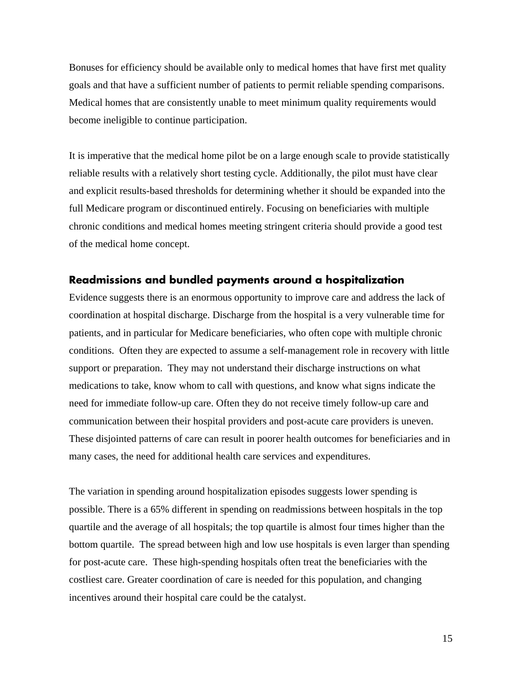Bonuses for efficiency should be available only to medical homes that have first met quality goals and that have a sufficient number of patients to permit reliable spending comparisons. Medical homes that are consistently unable to meet minimum quality requirements would become ineligible to continue participation.

It is imperative that the medical home pilot be on a large enough scale to provide statistically reliable results with a relatively short testing cycle. Additionally, the pilot must have clear and explicit results-based thresholds for determining whether it should be expanded into the full Medicare program or discontinued entirely. Focusing on beneficiaries with multiple chronic conditions and medical homes meeting stringent criteria should provide a good test of the medical home concept.

#### **Readmissions and bundled payments around a hospitalization**

Evidence suggests there is an enormous opportunity to improve care and address the lack of coordination at hospital discharge. Discharge from the hospital is a very vulnerable time for patients, and in particular for Medicare beneficiaries, who often cope with multiple chronic conditions. Often they are expected to assume a self-management role in recovery with little support or preparation. They may not understand their discharge instructions on what medications to take, know whom to call with questions, and know what signs indicate the need for immediate follow-up care. Often they do not receive timely follow-up care and communication between their hospital providers and post-acute care providers is uneven. These disjointed patterns of care can result in poorer health outcomes for beneficiaries and in many cases, the need for additional health care services and expenditures.

The variation in spending around hospitalization episodes suggests lower spending is possible. There is a 65% different in spending on readmissions between hospitals in the top quartile and the average of all hospitals; the top quartile is almost four times higher than the bottom quartile. The spread between high and low use hospitals is even larger than spending for post-acute care. These high-spending hospitals often treat the beneficiaries with the costliest care. Greater coordination of care is needed for this population, and changing incentives around their hospital care could be the catalyst.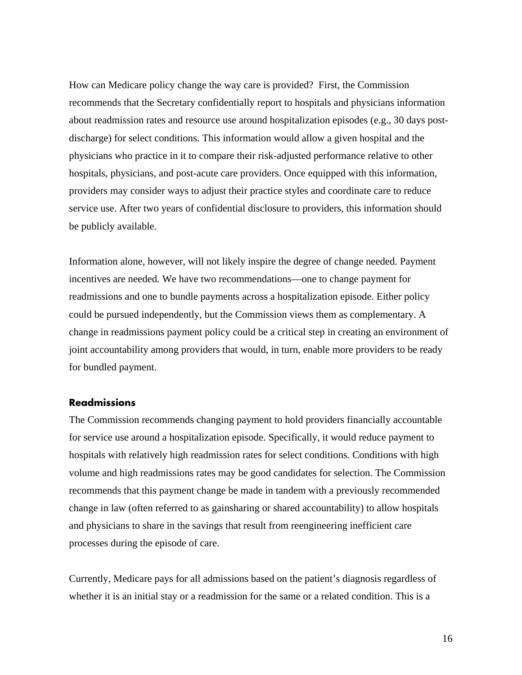How can Medicare policy change the way care is provided? First, the Commission recommends that the Secretary confidentially report to hospitals and physicians information about readmission rates and resource use around hospitalization episodes (e.g., 30 days postdischarge) for select conditions. This information would allow a given hospital and the physicians who practice in it to compare their risk-adjusted performance relative to other hospitals, physicians, and post-acute care providers. Once equipped with this information, providers may consider ways to adjust their practice styles and coordinate care to reduce service use. After two years of confidential disclosure to providers, this information should be publicly available.

Information alone, however, will not likely inspire the degree of change needed. Payment incentives are needed. We have two recommendations—one to change payment for readmissions and one to bundle payments across a hospitalization episode. Either policy could be pursued independently, but the Commission views them as complementary. A change in readmissions payment policy could be a critical step in creating an environment of joint accountability among providers that would, in turn, enable more providers to be ready for bundled payment.

#### **Readmissions**

The Commission recommends changing payment to hold providers financially accountable for service use around a hospitalization episode. Specifically, it would reduce payment to hospitals with relatively high readmission rates for select conditions. Conditions with high volume and high readmissions rates may be good candidates for selection. The Commission recommends that this payment change be made in tandem with a previously recommended change in law (often referred to as gainsharing or shared accountability) to allow hospitals and physicians to share in the savings that result from reengineering inefficient care processes during the episode of care.

Currently, Medicare pays for all admissions based on the patient's diagnosis regardless of whether it is an initial stay or a readmission for the same or a related condition. This is a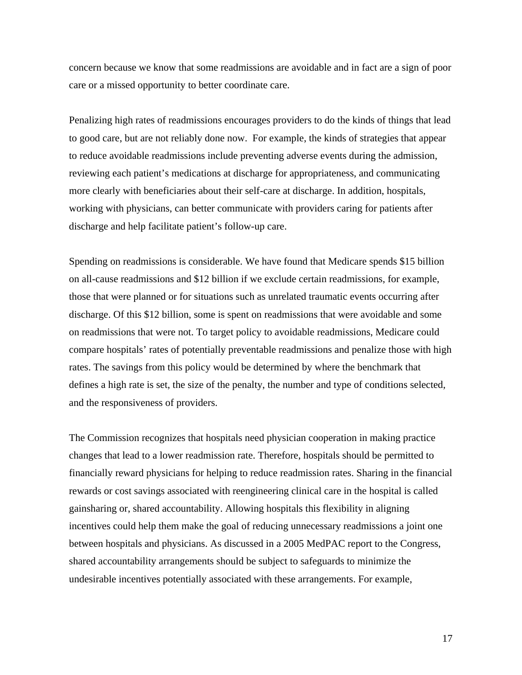concern because we know that some readmissions are avoidable and in fact are a sign of poor care or a missed opportunity to better coordinate care.

Penalizing high rates of readmissions encourages providers to do the kinds of things that lead to good care, but are not reliably done now. For example, the kinds of strategies that appear to reduce avoidable readmissions include preventing adverse events during the admission, reviewing each patient's medications at discharge for appropriateness, and communicating more clearly with beneficiaries about their self-care at discharge. In addition, hospitals, working with physicians, can better communicate with providers caring for patients after discharge and help facilitate patient's follow-up care.

Spending on readmissions is considerable. We have found that Medicare spends \$15 billion on all-cause readmissions and \$12 billion if we exclude certain readmissions, for example, those that were planned or for situations such as unrelated traumatic events occurring after discharge. Of this \$12 billion, some is spent on readmissions that were avoidable and some on readmissions that were not. To target policy to avoidable readmissions, Medicare could compare hospitals' rates of potentially preventable readmissions and penalize those with high rates. The savings from this policy would be determined by where the benchmark that defines a high rate is set, the size of the penalty, the number and type of conditions selected, and the responsiveness of providers.

The Commission recognizes that hospitals need physician cooperation in making practice changes that lead to a lower readmission rate. Therefore, hospitals should be permitted to financially reward physicians for helping to reduce readmission rates. Sharing in the financial rewards or cost savings associated with reengineering clinical care in the hospital is called gainsharing or, shared accountability. Allowing hospitals this flexibility in aligning incentives could help them make the goal of reducing unnecessary readmissions a joint one between hospitals and physicians. As discussed in a 2005 MedPAC report to the Congress, shared accountability arrangements should be subject to safeguards to minimize the undesirable incentives potentially associated with these arrangements. For example,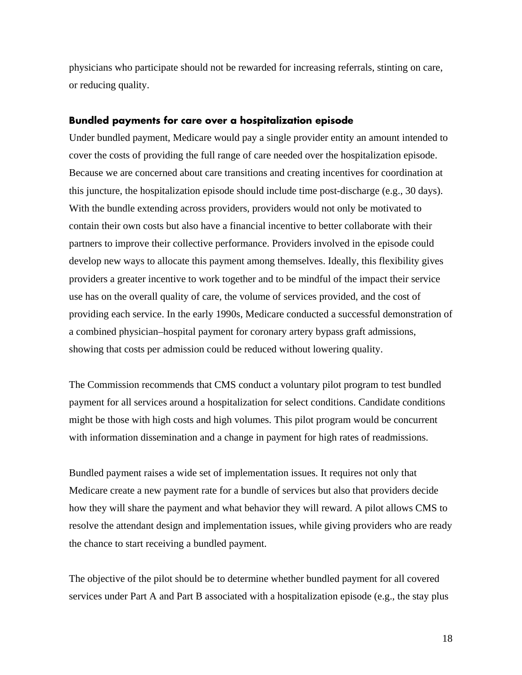physicians who participate should not be rewarded for increasing referrals, stinting on care, or reducing quality.

#### **Bundled payments for care over a hospitalization episode**

Under bundled payment, Medicare would pay a single provider entity an amount intended to cover the costs of providing the full range of care needed over the hospitalization episode. Because we are concerned about care transitions and creating incentives for coordination at this juncture, the hospitalization episode should include time post-discharge (e.g., 30 days). With the bundle extending across providers, providers would not only be motivated to contain their own costs but also have a financial incentive to better collaborate with their partners to improve their collective performance. Providers involved in the episode could develop new ways to allocate this payment among themselves. Ideally, this flexibility gives providers a greater incentive to work together and to be mindful of the impact their service use has on the overall quality of care, the volume of services provided, and the cost of providing each service. In the early 1990s, Medicare conducted a successful demonstration of a combined physician–hospital payment for coronary artery bypass graft admissions, showing that costs per admission could be reduced without lowering quality.

The Commission recommends that CMS conduct a voluntary pilot program to test bundled payment for all services around a hospitalization for select conditions. Candidate conditions might be those with high costs and high volumes. This pilot program would be concurrent with information dissemination and a change in payment for high rates of readmissions.

Bundled payment raises a wide set of implementation issues. It requires not only that Medicare create a new payment rate for a bundle of services but also that providers decide how they will share the payment and what behavior they will reward. A pilot allows CMS to resolve the attendant design and implementation issues, while giving providers who are ready the chance to start receiving a bundled payment.

The objective of the pilot should be to determine whether bundled payment for all covered services under Part A and Part B associated with a hospitalization episode (e.g., the stay plus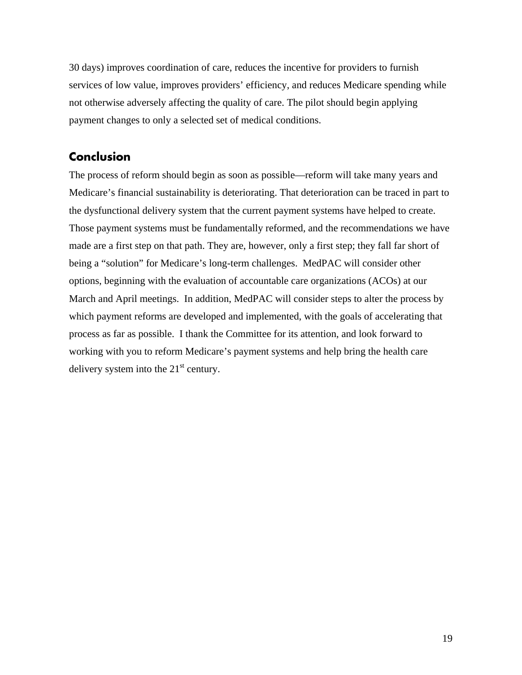30 days) improves coordination of care, reduces the incentive for providers to furnish services of low value, improves providers' efficiency, and reduces Medicare spending while not otherwise adversely affecting the quality of care. The pilot should begin applying payment changes to only a selected set of medical conditions.

## **Conclusion**

The process of reform should begin as soon as possible—reform will take many years and Medicare's financial sustainability is deteriorating. That deterioration can be traced in part to the dysfunctional delivery system that the current payment systems have helped to create. Those payment systems must be fundamentally reformed, and the recommendations we have made are a first step on that path. They are, however, only a first step; they fall far short of being a "solution" for Medicare's long-term challenges. MedPAC will consider other options, beginning with the evaluation of accountable care organizations (ACOs) at our March and April meetings. In addition, MedPAC will consider steps to alter the process by which payment reforms are developed and implemented, with the goals of accelerating that process as far as possible. I thank the Committee for its attention, and look forward to working with you to reform Medicare's payment systems and help bring the health care delivery system into the  $21<sup>st</sup>$  century.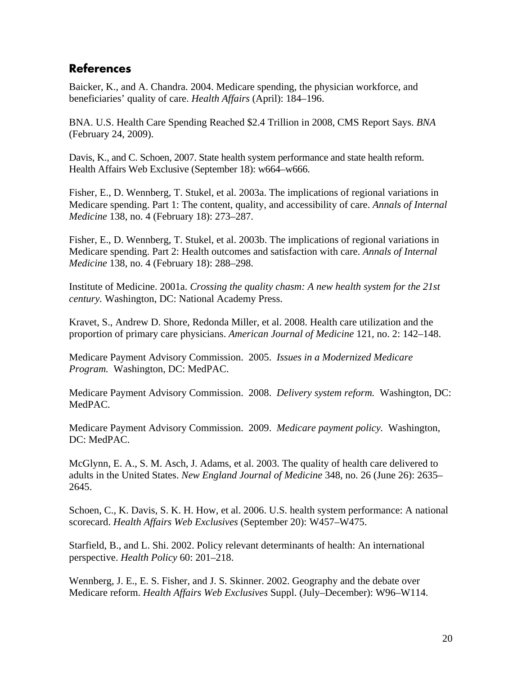# **References**

Baicker, K., and A. Chandra. 2004. Medicare spending, the physician workforce, and beneficiaries' quality of care. *Health Affairs* (April): 184–196.

BNA. U.S. Health Care Spending Reached \$2.4 Trillion in 2008, CMS Report Says. *BNA*  (February 24, 2009).

Davis, K., and C. Schoen, 2007. State health system performance and state health reform. Health Affairs Web Exclusive (September 18): w664–w666.

Fisher, E., D. Wennberg, T. Stukel, et al. 2003a. The implications of regional variations in Medicare spending. Part 1: The content, quality, and accessibility of care. *Annals of Internal Medicine* 138, no. 4 (February 18): 273–287.

Fisher, E., D. Wennberg, T. Stukel, et al. 2003b. The implications of regional variations in Medicare spending. Part 2: Health outcomes and satisfaction with care. *Annals of Internal Medicine* 138, no. 4 (February 18): 288–298.

Institute of Medicine. 2001a. *Crossing the quality chasm: A new health system for the 21st century.* Washington, DC: National Academy Press.

Kravet, S., Andrew D. Shore, Redonda Miller, et al. 2008. Health care utilization and the proportion of primary care physicians. *American Journal of Medicine* 121, no. 2: 142–148.

Medicare Payment Advisory Commission. 2005. *Issues in a Modernized Medicare Program.* Washington, DC: MedPAC.

Medicare Payment Advisory Commission. 2008. *Delivery system reform.* Washington, DC: MedPAC.

Medicare Payment Advisory Commission. 2009. *Medicare payment policy.* Washington, DC: MedPAC.

McGlynn, E. A., S. M. Asch, J. Adams, et al. 2003. The quality of health care delivered to adults in the United States. *New England Journal of Medicine* 348, no. 26 (June 26): 2635– 2645.

Schoen, C., K. Davis, S. K. H. How, et al. 2006. U.S. health system performance: A national scorecard. *Health Affairs Web Exclusives* (September 20): W457–W475.

Starfield, B., and L. Shi. 2002. Policy relevant determinants of health: An international perspective. *Health Policy* 60: 201–218.

Wennberg, J. E., E. S. Fisher, and J. S. Skinner. 2002. Geography and the debate over Medicare reform. *Health Affairs Web Exclusives* Suppl. (July–December): W96–W114.